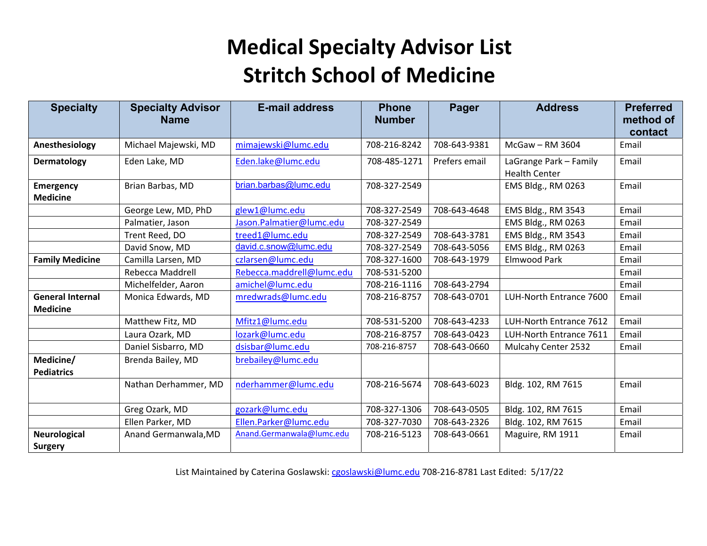| <b>Specialty</b>                           | <b>Specialty Advisor</b><br><b>Name</b> | <b>E-mail address</b>     | <b>Phone</b><br><b>Number</b> | Pager         | <b>Address</b>                                 | <b>Preferred</b><br>method of<br>contact |
|--------------------------------------------|-----------------------------------------|---------------------------|-------------------------------|---------------|------------------------------------------------|------------------------------------------|
| Anesthesiology                             | Michael Majewski, MD                    | mimajewski@lumc.edu       | 708-216-8242                  | 708-643-9381  | McGaw - RM 3604                                | Email                                    |
| Dermatology                                | Eden Lake, MD                           | Eden.lake@lumc.edu        | 708-485-1271                  | Prefers email | LaGrange Park - Family<br><b>Health Center</b> | Email                                    |
| <b>Emergency</b><br><b>Medicine</b>        | Brian Barbas, MD                        | brian.barbas@lumc.edu     | 708-327-2549                  |               | EMS Bldg., RM 0263                             | Email                                    |
|                                            | George Lew, MD, PhD                     | glew1@lumc.edu            | 708-327-2549                  | 708-643-4648  | EMS Bldg., RM 3543                             | Email                                    |
|                                            | Palmatier, Jason                        | Jason.Palmatier@lumc.edu  | 708-327-2549                  |               | EMS Bldg., RM 0263                             | Email                                    |
|                                            | Trent Reed, DO                          | treed1@lumc.edu           | 708-327-2549                  | 708-643-3781  | EMS Bldg., RM 3543                             | Email                                    |
|                                            | David Snow, MD                          | david.c.snow@lumc.edu     | 708-327-2549                  | 708-643-5056  | EMS Bldg., RM 0263                             | Email                                    |
| <b>Family Medicine</b>                     | Camilla Larsen, MD                      | czlarsen@lumc.edu         | 708-327-1600                  | 708-643-1979  | <b>Elmwood Park</b>                            | Email                                    |
|                                            | Rebecca Maddrell                        | Rebecca.maddrell@lumc.edu | 708-531-5200                  |               |                                                | Email                                    |
|                                            | Michelfelder, Aaron                     | amichel@lumc.edu          | 708-216-1116                  | 708-643-2794  |                                                | Email                                    |
| <b>General Internal</b><br><b>Medicine</b> | Monica Edwards, MD                      | mredwrads@lumc.edu        | 708-216-8757                  | 708-643-0701  | LUH-North Entrance 7600                        | Email                                    |
|                                            | Matthew Fitz, MD                        | Mfitz1@lumc.edu           | 708-531-5200                  | 708-643-4233  | LUH-North Entrance 7612                        | Email                                    |
|                                            | Laura Ozark, MD                         | lozark@lumc.edu           | 708-216-8757                  | 708-643-0423  | LUH-North Entrance 7611                        | Email                                    |
|                                            | Daniel Sisbarro, MD                     | dsisbar@lumc.edu          | 708-216-8757                  | 708-643-0660  | Mulcahy Center 2532                            | Email                                    |
| Medicine/<br><b>Pediatrics</b>             | Brenda Bailey, MD                       | brebailey@lumc.edu        |                               |               |                                                |                                          |
|                                            | Nathan Derhammer, MD                    | nderhammer@lumc.edu       | 708-216-5674                  | 708-643-6023  | Bldg. 102, RM 7615                             | Email                                    |
|                                            | Greg Ozark, MD                          | gozark@lumc.edu           | 708-327-1306                  | 708-643-0505  | Bldg. 102, RM 7615                             | Email                                    |
|                                            | Ellen Parker, MD                        | Ellen.Parker@lumc.edu     | 708-327-7030                  | 708-643-2326  | Bldg. 102, RM 7615                             | Email                                    |
| <b>Neurological</b>                        | Anand Germanwala, MD                    | Anand.Germanwala@lumc.edu | 708-216-5123                  | 708-643-0661  | Maguire, RM 1911                               | Email                                    |
| <b>Surgery</b>                             |                                         |                           |                               |               |                                                |                                          |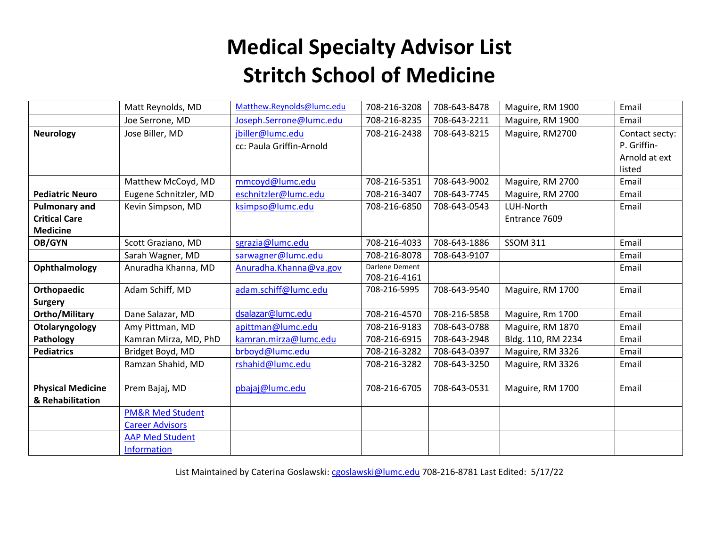|                          | Matt Reynolds, MD           | Matthew.Reynolds@lumc.edu | 708-216-3208   | 708-643-8478 | Maguire, RM 1900   | Email          |
|--------------------------|-----------------------------|---------------------------|----------------|--------------|--------------------|----------------|
|                          | Joe Serrone, MD             | Joseph.Serrone@lumc.edu   | 708-216-8235   | 708-643-2211 | Maguire, RM 1900   | Email          |
| <b>Neurology</b>         | Jose Biller, MD             | jbiller@lumc.edu          | 708-216-2438   | 708-643-8215 | Maguire, RM2700    | Contact secty: |
|                          |                             | cc: Paula Griffin-Arnold  |                |              |                    | P. Griffin-    |
|                          |                             |                           |                |              |                    | Arnold at ext  |
|                          |                             |                           |                |              |                    | listed         |
|                          | Matthew McCoyd, MD          | mmcoyd@lumc.edu           | 708-216-5351   | 708-643-9002 | Maguire, RM 2700   | Email          |
| <b>Pediatric Neuro</b>   | Eugene Schnitzler, MD       | eschnitzler@lumc.edu      | 708-216-3407   | 708-643-7745 | Maguire, RM 2700   | Email          |
| <b>Pulmonary and</b>     | Kevin Simpson, MD           | ksimpso@lumc.edu          | 708-216-6850   | 708-643-0543 | LUH-North          | Email          |
| <b>Critical Care</b>     |                             |                           |                |              | Entrance 7609      |                |
| <b>Medicine</b>          |                             |                           |                |              |                    |                |
| OB/GYN                   | Scott Graziano, MD          | sgrazia@lumc.edu          | 708-216-4033   | 708-643-1886 | <b>SSOM 311</b>    | Email          |
|                          | Sarah Wagner, MD            | sarwagner@lumc.edu        | 708-216-8078   | 708-643-9107 |                    | Email          |
| Ophthalmology            | Anuradha Khanna, MD         | Anuradha.Khanna@va.gov    | Darlene Dement |              |                    | Email          |
|                          |                             |                           | 708-216-4161   |              |                    |                |
| Orthopaedic              | Adam Schiff, MD             | adam.schiff@lumc.edu      | 708-216-5995   | 708-643-9540 | Maguire, RM 1700   | Email          |
| <b>Surgery</b>           |                             |                           |                |              |                    |                |
| <b>Ortho/Military</b>    | Dane Salazar, MD            | dsalazar@lumc.edu         | 708-216-4570   | 708-216-5858 | Maguire, Rm 1700   | Email          |
| Otolaryngology           | Amy Pittman, MD             | apittman@lumc.edu         | 708-216-9183   | 708-643-0788 | Maguire, RM 1870   | Email          |
| Pathology                | Kamran Mirza, MD, PhD       | kamran.mirza@lumc.edu     | 708-216-6915   | 708-643-2948 | Bldg. 110, RM 2234 | Email          |
| <b>Pediatrics</b>        | Bridget Boyd, MD            | brboyd@lumc.edu           | 708-216-3282   | 708-643-0397 | Maguire, RM 3326   | Email          |
|                          | Ramzan Shahid, MD           | rshahid@lumc.edu          | 708-216-3282   | 708-643-3250 | Maguire, RM 3326   | Email          |
|                          |                             |                           |                |              |                    |                |
| <b>Physical Medicine</b> | Prem Bajaj, MD              | pbajaj@lumc.edu           | 708-216-6705   | 708-643-0531 | Maguire, RM 1700   | Email          |
| & Rehabilitation         |                             |                           |                |              |                    |                |
|                          | <b>PM&amp;R Med Student</b> |                           |                |              |                    |                |
|                          | <b>Career Advisors</b>      |                           |                |              |                    |                |
|                          | <b>AAP Med Student</b>      |                           |                |              |                    |                |
|                          | <b>Information</b>          |                           |                |              |                    |                |